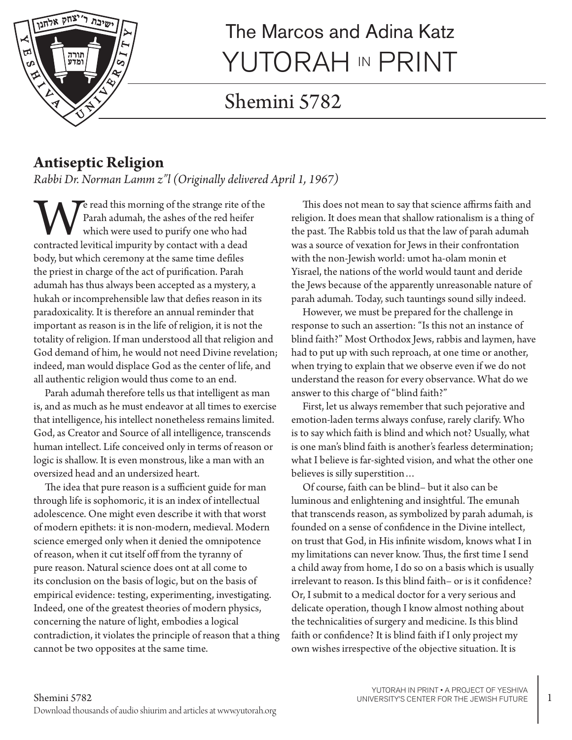

# The Marcos and Adina Katz YUTORAH IN PRINT

## Shemini 5782

### **Antiseptic Religion**

*Rabbi Dr. Norman Lamm z"l (Originally delivered April 1, 1967)*

We read this morning of the strange rite of the Parah adumah, the ashes of the red heifer which were used to purify one who had contracted levitical impurity by contact with a dead Parah adumah, the ashes of the red heifer which were used to purify one who had body, but which ceremony at the same time defiles the priest in charge of the act of purification. Parah adumah has thus always been accepted as a mystery, a hukah or incomprehensible law that defies reason in its paradoxicality. It is therefore an annual reminder that important as reason is in the life of religion, it is not the totality of religion. If man understood all that religion and God demand of him, he would not need Divine revelation; indeed, man would displace God as the center of life, and all authentic religion would thus come to an end.

Parah adumah therefore tells us that intelligent as man is, and as much as he must endeavor at all times to exercise that intelligence, his intellect nonetheless remains limited. God, as Creator and Source of all intelligence, transcends human intellect. Life conceived only in terms of reason or logic is shallow. It is even monstrous, like a man with an oversized head and an undersized heart.

The idea that pure reason is a sufficient guide for man through life is sophomoric, it is an index of intellectual adolescence. One might even describe it with that worst of modern epithets: it is non-modern, medieval. Modern science emerged only when it denied the omnipotence of reason, when it cut itself off from the tyranny of pure reason. Natural science does ont at all come to its conclusion on the basis of logic, but on the basis of empirical evidence: testing, experimenting, investigating. Indeed, one of the greatest theories of modern physics, concerning the nature of light, embodies a logical contradiction, it violates the principle of reason that a thing cannot be two opposites at the same time.

This does not mean to say that science affirms faith and religion. It does mean that shallow rationalism is a thing of the past. The Rabbis told us that the law of parah adumah was a source of vexation for Jews in their confrontation with the non-Jewish world: umot ha-olam monin et Yisrael, the nations of the world would taunt and deride the Jews because of the apparently unreasonable nature of parah adumah. Today, such tauntings sound silly indeed.

However, we must be prepared for the challenge in response to such an assertion: "Is this not an instance of blind faith?" Most Orthodox Jews, rabbis and laymen, have had to put up with such reproach, at one time or another, when trying to explain that we observe even if we do not understand the reason for every observance. What do we answer to this charge of "blind faith?"

First, let us always remember that such pejorative and emotion-laden terms always confuse, rarely clarify. Who is to say which faith is blind and which not? Usually, what is one man's blind faith is another's fearless determination; what I believe is far-sighted vision, and what the other one believes is silly superstition…

Of course, faith can be blind– but it also can be luminous and enlightening and insightful. The emunah that transcends reason, as symbolized by parah adumah, is founded on a sense of confidence in the Divine intellect, on trust that God, in His infinite wisdom, knows what I in my limitations can never know. Thus, the first time I send a child away from home, I do so on a basis which is usually irrelevant to reason. Is this blind faith– or is it confidence? Or, I submit to a medical doctor for a very serious and delicate operation, though I know almost nothing about the technicalities of surgery and medicine. Is this blind faith or confidence? It is blind faith if I only project my own wishes irrespective of the objective situation. It is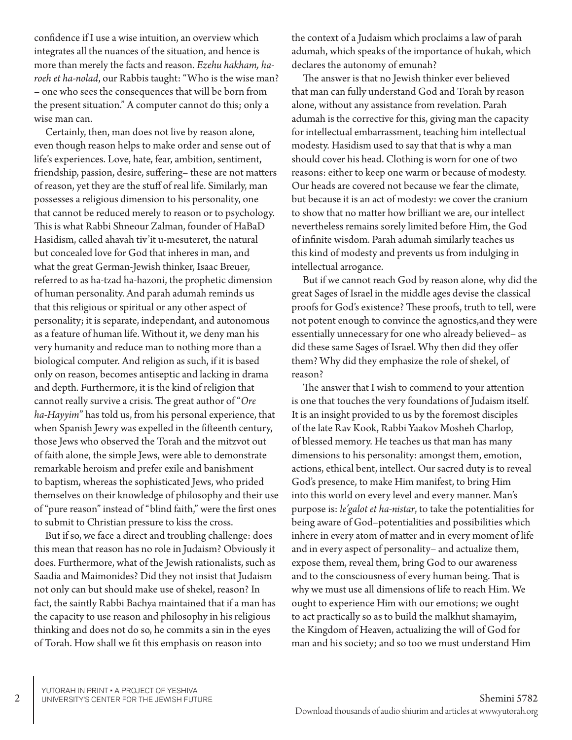confidence if I use a wise intuition, an overview which integrates all the nuances of the situation, and hence is more than merely the facts and reason. *Ezehu hakham, haroeh et ha-nolad*, our Rabbis taught: "Who is the wise man? – one who sees the consequences that will be born from the present situation." A computer cannot do this; only a wise man can.

Certainly, then, man does not live by reason alone, even though reason helps to make order and sense out of life's experiences. Love, hate, fear, ambition, sentiment, friendship, passion, desire, suffering– these are not matters of reason, yet they are the stuff of real life. Similarly, man possesses a religious dimension to his personality, one that cannot be reduced merely to reason or to psychology. This is what Rabbi Shneour Zalman, founder of HaBaD Hasidism, called ahavah tiv'it u-mesuteret, the natural but concealed love for God that inheres in man, and what the great German-Jewish thinker, Isaac Breuer, referred to as ha-tzad ha-hazoni, the prophetic dimension of human personality. And parah adumah reminds us that this religious or spiritual or any other aspect of personality; it is separate, independant, and autonomous as a feature of human life. Without it, we deny man his very humanity and reduce man to nothing more than a biological computer. And religion as such, if it is based only on reason, becomes antiseptic and lacking in drama and depth. Furthermore, it is the kind of religion that cannot really survive a crisis. The great author of "*Ore ha-Hayyim*" has told us, from his personal experience, that when Spanish Jewry was expelled in the fifteenth century, those Jews who observed the Torah and the mitzvot out of faith alone, the simple Jews, were able to demonstrate remarkable heroism and prefer exile and banishment to baptism, whereas the sophisticated Jews, who prided themselves on their knowledge of philosophy and their use of "pure reason" instead of "blind faith," were the first ones to submit to Christian pressure to kiss the cross.

But if so, we face a direct and troubling challenge: does this mean that reason has no role in Judaism? Obviously it does. Furthermore, what of the Jewish rationalists, such as Saadia and Maimonides? Did they not insist that Judaism not only can but should make use of shekel, reason? In fact, the saintly Rabbi Bachya maintained that if a man has the capacity to use reason and philosophy in his religious thinking and does not do so, he commits a sin in the eyes of Torah. How shall we fit this emphasis on reason into

the context of a Judaism which proclaims a law of parah adumah, which speaks of the importance of hukah, which declares the autonomy of emunah?

The answer is that no Jewish thinker ever believed that man can fully understand God and Torah by reason alone, without any assistance from revelation. Parah adumah is the corrective for this, giving man the capacity for intellectual embarrassment, teaching him intellectual modesty. Hasidism used to say that that is why a man should cover his head. Clothing is worn for one of two reasons: either to keep one warm or because of modesty. Our heads are covered not because we fear the climate, but because it is an act of modesty: we cover the cranium to show that no matter how brilliant we are, our intellect nevertheless remains sorely limited before Him, the God of infinite wisdom. Parah adumah similarly teaches us this kind of modesty and prevents us from indulging in intellectual arrogance.

But if we cannot reach God by reason alone, why did the great Sages of Israel in the middle ages devise the classical proofs for God's existence? These proofs, truth to tell, were not potent enough to convince the agnostics,and they were essentially unnecessary for one who already believed– as did these same Sages of Israel. Why then did they offer them? Why did they emphasize the role of shekel, of reason?

The answer that I wish to commend to your attention is one that touches the very foundations of Judaism itself. It is an insight provided to us by the foremost disciples of the late Rav Kook, Rabbi Yaakov Mosheh Charlop, of blessed memory. He teaches us that man has many dimensions to his personality: amongst them, emotion, actions, ethical bent, intellect. Our sacred duty is to reveal God's presence, to make Him manifest, to bring Him into this world on every level and every manner. Man's purpose is: *le'galot et ha-nistar*, to take the potentialities for being aware of God–potentialities and possibilities which inhere in every atom of matter and in every moment of life and in every aspect of personality– and actualize them, expose them, reveal them, bring God to our awareness and to the consciousness of every human being. That is why we must use all dimensions of life to reach Him. We ought to experience Him with our emotions; we ought to act practically so as to build the malkhut shamayim, the Kingdom of Heaven, actualizing the will of God for man and his society; and so too we must understand Him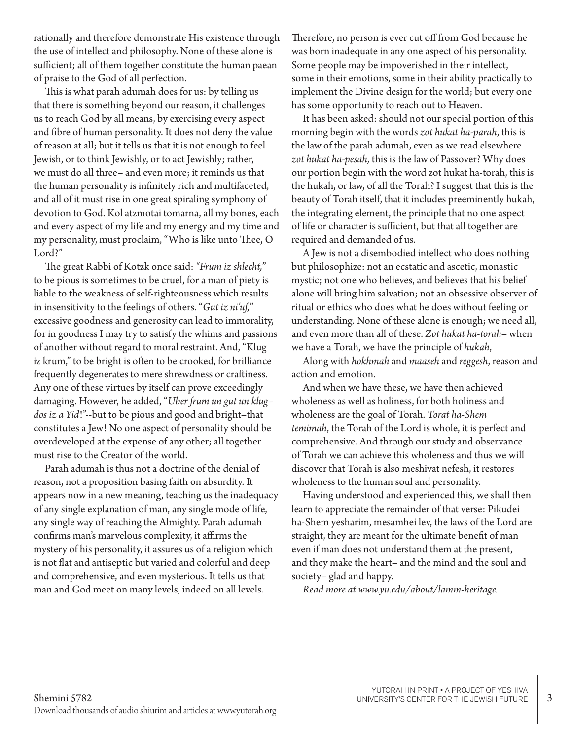rationally and therefore demonstrate His existence through the use of intellect and philosophy. None of these alone is sufficient; all of them together constitute the human paean of praise to the God of all perfection.

This is what parah adumah does for us: by telling us that there is something beyond our reason, it challenges us to reach God by all means, by exercising every aspect and fibre of human personality. It does not deny the value of reason at all; but it tells us that it is not enough to feel Jewish, or to think Jewishly, or to act Jewishly; rather, we must do all three– and even more; it reminds us that the human personality is infinitely rich and multifaceted, and all of it must rise in one great spiraling symphony of devotion to God. Kol atzmotai tomarna, all my bones, each and every aspect of my life and my energy and my time and my personality, must proclaim, "Who is like unto Thee, O Lord?"

The great Rabbi of Kotzk once said: *"Frum iz shlecht,*" to be pious is sometimes to be cruel, for a man of piety is liable to the weakness of self-righteousness which results in insensitivity to the feelings of others. "*Gut iz ni'uf,*" excessive goodness and generosity can lead to immorality, for in goodness I may try to satisfy the whims and passions of another without regard to moral restraint. And, "Klug iz krum," to be bright is often to be crooked, for brilliance frequently degenerates to mere shrewdness or craftiness. Any one of these virtues by itself can prove exceedingly damaging. However, he added, "*Uber frum un gut un klug– dos iz a Yid*!"--but to be pious and good and bright–that constitutes a Jew! No one aspect of personality should be overdeveloped at the expense of any other; all together must rise to the Creator of the world.

Parah adumah is thus not a doctrine of the denial of reason, not a proposition basing faith on absurdity. It appears now in a new meaning, teaching us the inadequacy of any single explanation of man, any single mode of life, any single way of reaching the Almighty. Parah adumah confirms man's marvelous complexity, it affirms the mystery of his personality, it assures us of a religion which is not flat and antiseptic but varied and colorful and deep and comprehensive, and even mysterious. It tells us that man and God meet on many levels, indeed on all levels.

Therefore, no person is ever cut off from God because he was born inadequate in any one aspect of his personality. Some people may be impoverished in their intellect, some in their emotions, some in their ability practically to implement the Divine design for the world; but every one has some opportunity to reach out to Heaven.

It has been asked: should not our special portion of this morning begin with the words *zot hukat ha-parah*, this is the law of the parah adumah, even as we read elsewhere *zot hukat ha-pesah,* this is the law of Passover? Why does our portion begin with the word zot hukat ha-torah, this is the hukah, or law, of all the Torah? I suggest that this is the beauty of Torah itself, that it includes preeminently hukah, the integrating element, the principle that no one aspect of life or character is sufficient, but that all together are required and demanded of us.

A Jew is not a disembodied intellect who does nothing but philosophize: not an ecstatic and ascetic, monastic mystic; not one who believes, and believes that his belief alone will bring him salvation; not an obsessive observer of ritual or ethics who does what he does without feeling or understanding. None of these alone is enough; we need all, and even more than all of these. *Zot hukat ha-torah*– when we have a Torah, we have the principle of *hukah*,

Along with *hokhmah* and *maaseh* and *reggesh*, reason and action and emotion.

And when we have these, we have then achieved wholeness as well as holiness, for both holiness and wholeness are the goal of Torah. *Torat ha-Shem temimah*, the Torah of the Lord is whole, it is perfect and comprehensive. And through our study and observance of Torah we can achieve this wholeness and thus we will discover that Torah is also meshivat nefesh, it restores wholeness to the human soul and personality.

Having understood and experienced this, we shall then learn to appreciate the remainder of that verse: Pikudei ha-Shem yesharim, mesamhei lev, the laws of the Lord are straight, they are meant for the ultimate benefit of man even if man does not understand them at the present, and they make the heart– and the mind and the soul and society– glad and happy.

*Read more at www.yu.edu/about/lamm-heritage.*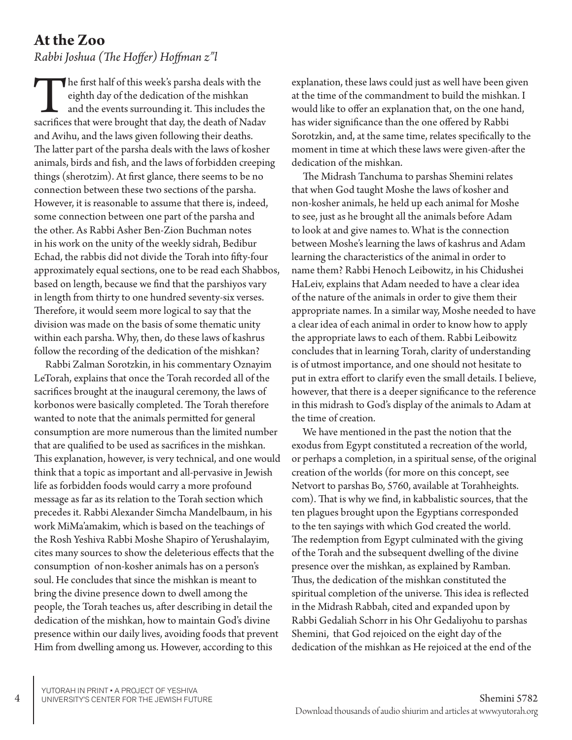### **At the Zoo**  *Rabbi Joshua (The Hoffer) Hoffman z"l*

The first half of this week's parsha deals with the eighth day of the dedication of the mishkan and the events surrounding it. This includes the sacrifices that were brought that day, the death of Nadav eighth day of the dedication of the mishkan and the events surrounding it. This includes the and Avihu, and the laws given following their deaths. The latter part of the parsha deals with the laws of kosher animals, birds and fish, and the laws of forbidden creeping things (sherotzim). At first glance, there seems to be no connection between these two sections of the parsha. However, it is reasonable to assume that there is, indeed, some connection between one part of the parsha and the other. As Rabbi Asher Ben-Zion Buchman notes in his work on the unity of the weekly sidrah, Bedibur Echad, the rabbis did not divide the Torah into fifty-four approximately equal sections, one to be read each Shabbos, based on length, because we find that the parshiyos vary in length from thirty to one hundred seventy-six verses. Therefore, it would seem more logical to say that the division was made on the basis of some thematic unity within each parsha. Why, then, do these laws of kashrus follow the recording of the dedication of the mishkan?

Rabbi Zalman Sorotzkin, in his commentary Oznayim LeTorah, explains that once the Torah recorded all of the sacrifices brought at the inaugural ceremony, the laws of korbonos were basically completed. The Torah therefore wanted to note that the animals permitted for general consumption are more numerous than the limited number that are qualified to be used as sacrifices in the mishkan. This explanation, however, is very technical, and one would think that a topic as important and all-pervasive in Jewish life as forbidden foods would carry a more profound message as far as its relation to the Torah section which precedes it. Rabbi Alexander Simcha Mandelbaum, in his work MiMa'amakim, which is based on the teachings of the Rosh Yeshiva Rabbi Moshe Shapiro of Yerushalayim, cites many sources to show the deleterious effects that the consumption of non-kosher animals has on a person's soul. He concludes that since the mishkan is meant to bring the divine presence down to dwell among the people, the Torah teaches us, after describing in detail the dedication of the mishkan, how to maintain God's divine presence within our daily lives, avoiding foods that prevent Him from dwelling among us. However, according to this

explanation, these laws could just as well have been given at the time of the commandment to build the mishkan. I would like to offer an explanation that, on the one hand, has wider significance than the one offered by Rabbi Sorotzkin, and, at the same time, relates specifically to the moment in time at which these laws were given-after the dedication of the mishkan.

The Midrash Tanchuma to parshas Shemini relates that when God taught Moshe the laws of kosher and non-kosher animals, he held up each animal for Moshe to see, just as he brought all the animals before Adam to look at and give names to. What is the connection between Moshe's learning the laws of kashrus and Adam learning the characteristics of the animal in order to name them? Rabbi Henoch Leibowitz, in his Chidushei HaLeiv, explains that Adam needed to have a clear idea of the nature of the animals in order to give them their appropriate names. In a similar way, Moshe needed to have a clear idea of each animal in order to know how to apply the appropriate laws to each of them. Rabbi Leibowitz concludes that in learning Torah, clarity of understanding is of utmost importance, and one should not hesitate to put in extra effort to clarify even the small details. I believe, however, that there is a deeper significance to the reference in this midrash to God's display of the animals to Adam at the time of creation.

We have mentioned in the past the notion that the exodus from Egypt constituted a recreation of the world, or perhaps a completion, in a spiritual sense, of the original creation of the worlds (for more on this concept, see Netvort to parshas Bo, 5760, available at Torahheights. com). That is why we find, in kabbalistic sources, that the ten plagues brought upon the Egyptians corresponded to the ten sayings with which God created the world. The redemption from Egypt culminated with the giving of the Torah and the subsequent dwelling of the divine presence over the mishkan, as explained by Ramban. Thus, the dedication of the mishkan constituted the spiritual completion of the universe. This idea is reflected in the Midrash Rabbah, cited and expanded upon by Rabbi Gedaliah Schorr in his Ohr Gedaliyohu to parshas Shemini, that God rejoiced on the eight day of the dedication of the mishkan as He rejoiced at the end of the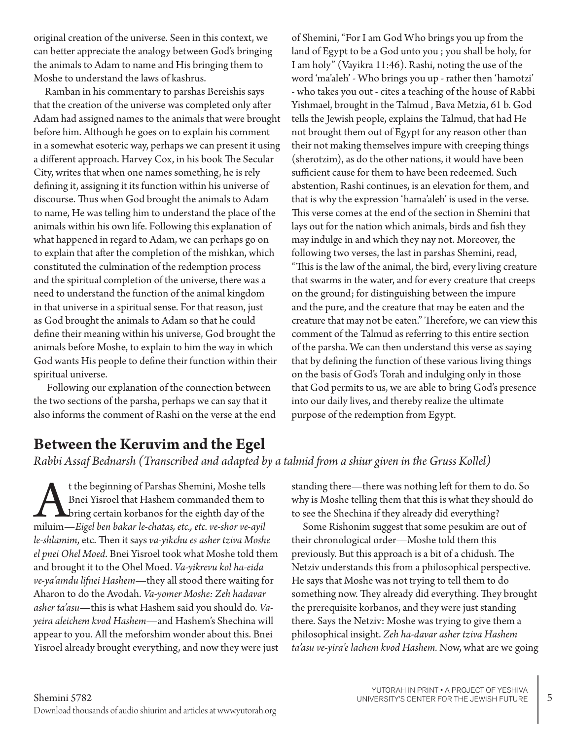original creation of the universe. Seen in this context, we can better appreciate the analogy between God's bringing the animals to Adam to name and His bringing them to Moshe to understand the laws of kashrus.

Ramban in his commentary to parshas Bereishis says that the creation of the universe was completed only after Adam had assigned names to the animals that were brought before him. Although he goes on to explain his comment in a somewhat esoteric way, perhaps we can present it using a different approach. Harvey Cox, in his book The Secular City, writes that when one names something, he is rely defining it, assigning it its function within his universe of discourse. Thus when God brought the animals to Adam to name, He was telling him to understand the place of the animals within his own life. Following this explanation of what happened in regard to Adam, we can perhaps go on to explain that after the completion of the mishkan, which constituted the culmination of the redemption process and the spiritual completion of the universe, there was a need to understand the function of the animal kingdom in that universe in a spiritual sense. For that reason, just as God brought the animals to Adam so that he could define their meaning within his universe, God brought the animals before Moshe, to explain to him the way in which God wants His people to define their function within their spiritual universe.

 Following our explanation of the connection between the two sections of the parsha, perhaps we can say that it also informs the comment of Rashi on the verse at the end of Shemini, "For I am God Who brings you up from the land of Egypt to be a God unto you ; you shall be holy, for I am holy" (Vayikra 11:46). Rashi, noting the use of the word 'ma'aleh' - Who brings you up - rather then 'hamotzi' - who takes you out - cites a teaching of the house of Rabbi Yishmael, brought in the Talmud , Bava Metzia, 61 b. God tells the Jewish people, explains the Talmud, that had He not brought them out of Egypt for any reason other than their not making themselves impure with creeping things (sherotzim), as do the other nations, it would have been sufficient cause for them to have been redeemed. Such abstention, Rashi continues, is an elevation for them, and that is why the expression 'hama'aleh' is used in the verse. This verse comes at the end of the section in Shemini that lays out for the nation which animals, birds and fish they may indulge in and which they nay not. Moreover, the following two verses, the last in parshas Shemini, read, "This is the law of the animal, the bird, every living creature that swarms in the water, and for every creature that creeps on the ground; for distinguishing between the impure and the pure, and the creature that may be eaten and the creature that may not be eaten." Therefore, we can view this comment of the Talmud as referring to this entire section of the parsha. We can then understand this verse as saying that by defining the function of these various living things on the basis of God's Torah and indulging only in those that God permits to us, we are able to bring God's presence into our daily lives, and thereby realize the ultimate purpose of the redemption from Egypt.

### **Between the Keruvim and the Egel**

*Rabbi Assaf Bednarsh (Transcribed and adapted by a talmid from a shiur given in the Gruss Kollel)*

At the beginning of Parshas Shemini, Moshe tells miluim—*Eigel ben bakar le-chatas, etc., etc. ve-shor ve-ayil*  Bnei Yisroel that Hashem commanded them to **L** bring certain korbanos for the eighth day of the *le-shlamim*, etc. Then it says *va-yikchu es asher tziva Moshe el pnei Ohel Moed*. Bnei Yisroel took what Moshe told them and brought it to the Ohel Moed. *Va-yikrevu kol ha-eida ve-ya'amdu lifnei Hashem*—they all stood there waiting for Aharon to do the Avodah. *Va-yomer Moshe: Zeh hadavar asher ta'asu*—this is what Hashem said you should do. *Vayeira aleichem kvod Hashem*—and Hashem's Shechina will appear to you. All the meforshim wonder about this. Bnei Yisroel already brought everything, and now they were just

standing there—there was nothing left for them to do. So why is Moshe telling them that this is what they should do to see the Shechina if they already did everything?

Some Rishonim suggest that some pesukim are out of their chronological order—Moshe told them this previously. But this approach is a bit of a chidush. The Netziv understands this from a philosophical perspective. He says that Moshe was not trying to tell them to do something now. They already did everything. They brought the prerequisite korbanos, and they were just standing there. Says the Netziv: Moshe was trying to give them a philosophical insight. *Zeh ha-davar asher tziva Hashem ta'asu ve-yira'e lachem kvod Hashem.* Now, what are we going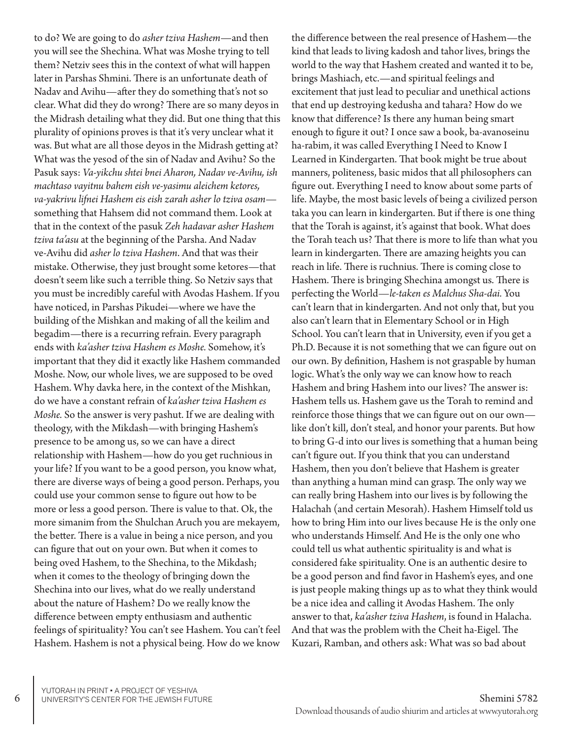to do? We are going to do *asher tziva Hashem*—and then you will see the Shechina. What was Moshe trying to tell them? Netziv sees this in the context of what will happen later in Parshas Shmini. There is an unfortunate death of Nadav and Avihu—after they do something that's not so clear. What did they do wrong? There are so many deyos in the Midrash detailing what they did. But one thing that this plurality of opinions proves is that it's very unclear what it was. But what are all those deyos in the Midrash getting at? What was the yesod of the sin of Nadav and Avihu? So the Pasuk says: *Va-yikchu shtei bnei Aharon, Nadav ve-Avihu, ish machtaso vayitnu bahem eish ve-yasimu aleichem ketores, va-yakrivu lifnei Hashem eis eish zarah asher lo tziva osam* something that Hahsem did not command them. Look at that in the context of the pasuk *Zeh hadavar asher Hashem tziva ta'asu* at the beginning of the Parsha. And Nadav ve-Avihu did *asher lo tziva Hashem*. And that was their mistake. Otherwise, they just brought some ketores—that doesn't seem like such a terrible thing. So Netziv says that you must be incredibly careful with Avodas Hashem. If you have noticed, in Parshas Pikudei—where we have the building of the Mishkan and making of all the keilim and begadim—there is a recurring refrain. Every paragraph ends with *ka'asher tziva Hashem es Moshe.* Somehow, it's important that they did it exactly like Hashem commanded Moshe. Now, our whole lives, we are supposed to be oved Hashem. Why davka here, in the context of the Mishkan, do we have a constant refrain of *ka'asher tziva Hashem es Moshe.* So the answer is very pashut. If we are dealing with theology, with the Mikdash—with bringing Hashem's presence to be among us, so we can have a direct relationship with Hashem—how do you get ruchnious in your life? If you want to be a good person, you know what, there are diverse ways of being a good person. Perhaps, you could use your common sense to figure out how to be more or less a good person. There is value to that. Ok, the more simanim from the Shulchan Aruch you are mekayem, the better. There is a value in being a nice person, and you can figure that out on your own. But when it comes to being oved Hashem, to the Shechina, to the Mikdash; when it comes to the theology of bringing down the Shechina into our lives, what do we really understand about the nature of Hashem? Do we really know the difference between empty enthusiasm and authentic feelings of spirituality? You can't see Hashem. You can't feel Hashem. Hashem is not a physical being. How do we know

the difference between the real presence of Hashem—the kind that leads to living kadosh and tahor lives, brings the world to the way that Hashem created and wanted it to be, brings Mashiach, etc.—and spiritual feelings and excitement that just lead to peculiar and unethical actions that end up destroying kedusha and tahara? How do we know that difference? Is there any human being smart enough to figure it out? I once saw a book, ba-avanoseinu ha-rabim, it was called Everything I Need to Know I Learned in Kindergarten. That book might be true about manners, politeness, basic midos that all philosophers can figure out. Everything I need to know about some parts of life. Maybe, the most basic levels of being a civilized person taka you can learn in kindergarten. But if there is one thing that the Torah is against, it's against that book. What does the Torah teach us? That there is more to life than what you learn in kindergarten. There are amazing heights you can reach in life. There is ruchnius. There is coming close to Hashem. There is bringing Shechina amongst us. There is perfecting the World*—le-taken es Malchus Sha-dai.* You can't learn that in kindergarten. And not only that, but you also can't learn that in Elementary School or in High School. You can't learn that in University, even if you get a Ph.D. Because it is not something that we can figure out on our own. By definition, Hashem is not graspable by human logic. What's the only way we can know how to reach Hashem and bring Hashem into our lives? The answer is: Hashem tells us. Hashem gave us the Torah to remind and reinforce those things that we can figure out on our own like don't kill, don't steal, and honor your parents. But how to bring G-d into our lives is something that a human being can't figure out. If you think that you can understand Hashem, then you don't believe that Hashem is greater than anything a human mind can grasp. The only way we can really bring Hashem into our lives is by following the Halachah (and certain Mesorah). Hashem Himself told us how to bring Him into our lives because He is the only one who understands Himself. And He is the only one who could tell us what authentic spirituality is and what is considered fake spirituality. One is an authentic desire to be a good person and find favor in Hashem's eyes, and one is just people making things up as to what they think would be a nice idea and calling it Avodas Hashem. The only answer to that, *ka'asher tziva Hashem*, is found in Halacha. And that was the problem with the Cheit ha-Eigel. The Kuzari, Ramban, and others ask: What was so bad about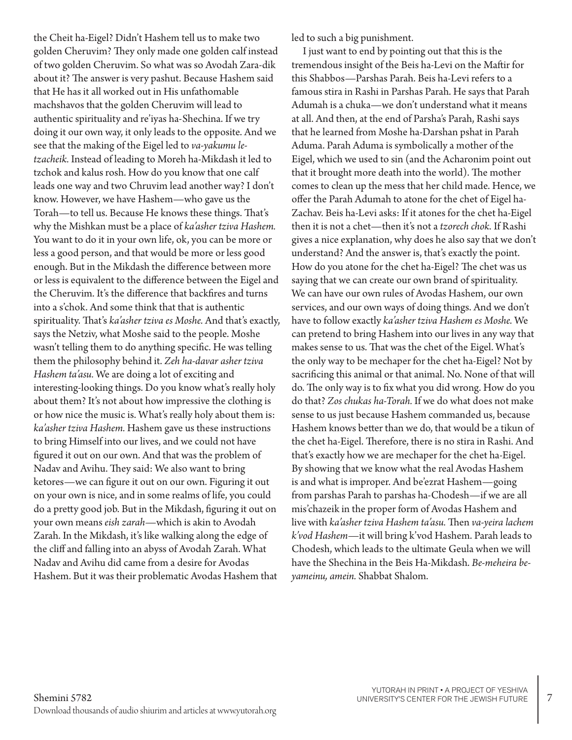the Cheit ha-Eigel? Didn't Hashem tell us to make two golden Cheruvim? They only made one golden calf instead of two golden Cheruvim. So what was so Avodah Zara-dik about it? The answer is very pashut. Because Hashem said that He has it all worked out in His unfathomable machshavos that the golden Cheruvim will lead to authentic spirituality and re'iyas ha-Shechina. If we try doing it our own way, it only leads to the opposite. And we see that the making of the Eigel led to *va-yakumu letzacheik.* Instead of leading to Moreh ha-Mikdash it led to tzchok and kalus rosh. How do you know that one calf leads one way and two Chruvim lead another way? I don't know. However, we have Hashem—who gave us the Torah—to tell us. Because He knows these things. That's why the Mishkan must be a place of *ka'asher tziva Hashem.*  You want to do it in your own life, ok, you can be more or less a good person, and that would be more or less good enough. But in the Mikdash the difference between more or less is equivalent to the difference between the Eigel and the Cheruvim. It's the difference that backfires and turns into a s'chok. And some think that that is authentic spirituality. That's *ka'asher tziva es Moshe.* And that's exactly, says the Netziv, what Moshe said to the people. Moshe wasn't telling them to do anything specific. He was telling them the philosophy behind it. *Zeh ha-davar asher tziva Hashem ta'asu.* We are doing a lot of exciting and interesting-looking things. Do you know what's really holy about them? It's not about how impressive the clothing is or how nice the music is. What's really holy about them is: *ka'asher tziva Hashem.* Hashem gave us these instructions to bring Himself into our lives, and we could not have figured it out on our own. And that was the problem of Nadav and Avihu. They said: We also want to bring ketores—we can figure it out on our own. Figuring it out on your own is nice, and in some realms of life, you could do a pretty good job. But in the Mikdash, figuring it out on your own means *eish zarah*—which is akin to Avodah Zarah. In the Mikdash, it's like walking along the edge of the cliff and falling into an abyss of Avodah Zarah. What Nadav and Avihu did came from a desire for Avodas Hashem. But it was their problematic Avodas Hashem that

led to such a big punishment.

I just want to end by pointing out that this is the tremendous insight of the Beis ha-Levi on the Maftir for this Shabbos—Parshas Parah. Beis ha-Levi refers to a famous stira in Rashi in Parshas Parah. He says that Parah Adumah is a chuka—we don't understand what it means at all. And then, at the end of Parsha's Parah, Rashi says that he learned from Moshe ha-Darshan pshat in Parah Aduma. Parah Aduma is symbolically a mother of the Eigel, which we used to sin (and the Acharonim point out that it brought more death into the world). The mother comes to clean up the mess that her child made. Hence, we offer the Parah Adumah to atone for the chet of Eigel ha-Zachav. Beis ha-Levi asks: If it atones for the chet ha-Eigel then it is not a chet—then it's not a *tzorech chok.* If Rashi gives a nice explanation, why does he also say that we don't understand? And the answer is, that's exactly the point. How do you atone for the chet ha-Eigel? The chet was us saying that we can create our own brand of spirituality. We can have our own rules of Avodas Hashem, our own services, and our own ways of doing things. And we don't have to follow exactly *ka'asher tziva Hashem es Moshe.* We can pretend to bring Hashem into our lives in any way that makes sense to us. That was the chet of the Eigel. What's the only way to be mechaper for the chet ha-Eigel? Not by sacrificing this animal or that animal. No. None of that will do. The only way is to fix what you did wrong. How do you do that? *Zos chukas ha-Torah.* If we do what does not make sense to us just because Hashem commanded us, because Hashem knows better than we do, that would be a tikun of the chet ha-Eigel. Therefore, there is no stira in Rashi. And that's exactly how we are mechaper for the chet ha-Eigel. By showing that we know what the real Avodas Hashem is and what is improper. And be'ezrat Hashem—going from parshas Parah to parshas ha-Chodesh—if we are all mis'chazeik in the proper form of Avodas Hashem and live with *ka'asher tziva Hashem ta'asu.* Then *va-yeira lachem k'vod Hashem*—it will bring k'vod Hashem. Parah leads to Chodesh, which leads to the ultimate Geula when we will have the Shechina in the Beis Ha-Mikdash. *Be-meheira beyameinu, amein.* Shabbat Shalom.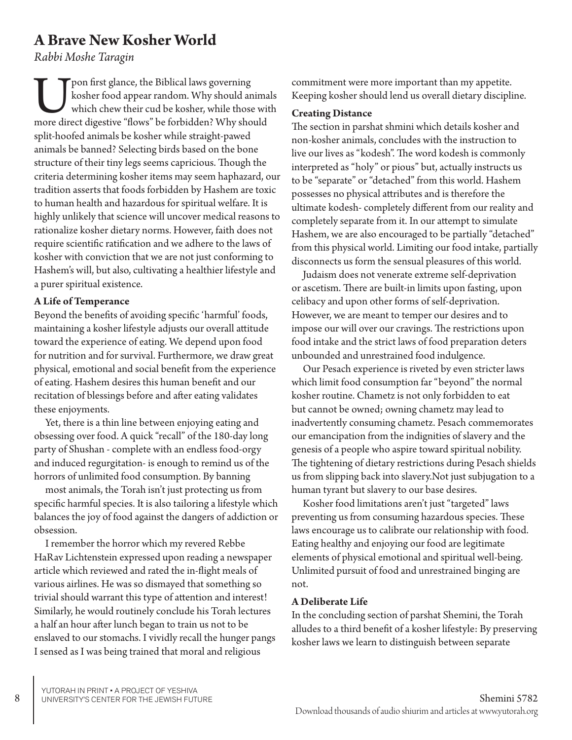### **A Brave New Kosher World**

*Rabbi Moshe Taragin*

The Biblical laws governing<br>
which chew their cud be kosher, while those with<br>
more direct digestive "flows" be forbidden? Why should<br>
why should kosher food appear random. Why should animals which chew their cud be kosher, while those with split-hoofed animals be kosher while straight-pawed animals be banned? Selecting birds based on the bone structure of their tiny legs seems capricious. Though the criteria determining kosher items may seem haphazard, our tradition asserts that foods forbidden by Hashem are toxic to human health and hazardous for spiritual welfare. It is highly unlikely that science will uncover medical reasons to rationalize kosher dietary norms. However, faith does not require scientific ratification and we adhere to the laws of kosher with conviction that we are not just conforming to Hashem's will, but also, cultivating a healthier lifestyle and a purer spiritual existence.

#### **A Life of Temperance**

Beyond the benefits of avoiding specific 'harmful' foods, maintaining a kosher lifestyle adjusts our overall attitude toward the experience of eating. We depend upon food for nutrition and for survival. Furthermore, we draw great physical, emotional and social benefit from the experience of eating. Hashem desires this human benefit and our recitation of blessings before and after eating validates these enjoyments.

Yet, there is a thin line between enjoying eating and obsessing over food. A quick "recall" of the 180-day long party of Shushan - complete with an endless food-orgy and induced regurgitation- is enough to remind us of the horrors of unlimited food consumption. By banning

most animals, the Torah isn't just protecting us from specific harmful species. It is also tailoring a lifestyle which balances the joy of food against the dangers of addiction or obsession.

I remember the horror which my revered Rebbe HaRav Lichtenstein expressed upon reading a newspaper article which reviewed and rated the in-flight meals of various airlines. He was so dismayed that something so trivial should warrant this type of attention and interest! Similarly, he would routinely conclude his Torah lectures a half an hour after lunch began to train us not to be enslaved to our stomachs. I vividly recall the hunger pangs I sensed as I was being trained that moral and religious

commitment were more important than my appetite. Keeping kosher should lend us overall dietary discipline.

#### **Creating Distance**

The section in parshat shmini which details kosher and non-kosher animals, concludes with the instruction to live our lives as "kodesh". The word kodesh is commonly interpreted as "holy" or pious" but, actually instructs us to be "separate" or "detached" from this world. Hashem possesses no physical attributes and is therefore the ultimate kodesh- completely different from our reality and completely separate from it. In our attempt to simulate Hashem, we are also encouraged to be partially "detached" from this physical world. Limiting our food intake, partially disconnects us form the sensual pleasures of this world.

Judaism does not venerate extreme self-deprivation or ascetism. There are built-in limits upon fasting, upon celibacy and upon other forms of self-deprivation. However, we are meant to temper our desires and to impose our will over our cravings. The restrictions upon food intake and the strict laws of food preparation deters unbounded and unrestrained food indulgence.

Our Pesach experience is riveted by even stricter laws which limit food consumption far "beyond" the normal kosher routine. Chametz is not only forbidden to eat but cannot be owned; owning chametz may lead to inadvertently consuming chametz. Pesach commemorates our emancipation from the indignities of slavery and the genesis of a people who aspire toward spiritual nobility. The tightening of dietary restrictions during Pesach shields us from slipping back into slavery.Not just subjugation to a human tyrant but slavery to our base desires.

Kosher food limitations aren't just "targeted" laws preventing us from consuming hazardous species. These laws encourage us to calibrate our relationship with food. Eating healthy and enjoying our food are legitimate elements of physical emotional and spiritual well-being. Unlimited pursuit of food and unrestrained binging are not.

#### **A Deliberate Life**

In the concluding section of parshat Shemini, the Torah alludes to a third benefit of a kosher lifestyle: By preserving kosher laws we learn to distinguish between separate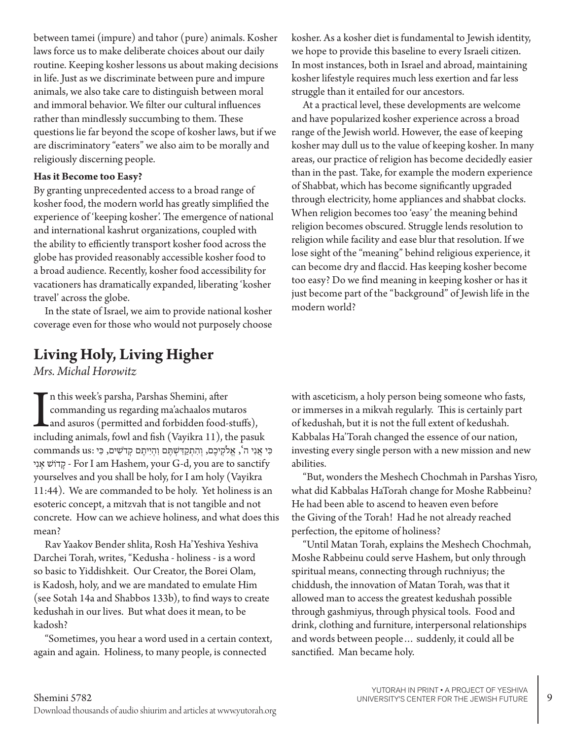between tamei (impure) and tahor (pure) animals. Kosher laws force us to make deliberate choices about our daily routine. Keeping kosher lessons us about making decisions in life. Just as we discriminate between pure and impure animals, we also take care to distinguish between moral and immoral behavior. We filter our cultural influences rather than mindlessly succumbing to them. These questions lie far beyond the scope of kosher laws, but if we are discriminatory "eaters" we also aim to be morally and religiously discerning people.

#### **Has it Become too Easy?**

By granting unprecedented access to a broad range of kosher food, the modern world has greatly simplified the experience of 'keeping kosher'. The emergence of national and international kashrut organizations, coupled with the ability to efficiently transport kosher food across the globe has provided reasonably accessible kosher food to a broad audience. Recently, kosher food accessibility for vacationers has dramatically expanded, liberating 'kosher travel' across the globe.

In the state of Israel, we aim to provide national kosher coverage even for those who would not purposely choose

### **Living Holy, Living Higher**

*Mrs. Michal Horowitz*

In this week's parsha, Parshas Shemini, after<br>commanding us regarding ma'achaalos mutaros<br>and asuros (permitted and forbidden food-stuffs),<br>including animals, fowl and fish (Vayikra 11), the pasuk n this week's parsha, Parshas Shemini, after commanding us regarding ma'achaalos mutaros and asuros (permitted and forbidden food-stuffs), ּכִ י אֲ נִ י ה', אֱ ֹלקְ יכֶ ם, וְ הִ תְ קַ ּדִ ׁשְ ּתֶ ם וִ הְ יִיתֶ ם קְ דֹׁשִ ים, ּכִ י :us commands י ִנ ָא שׁוֹד ָק - For I am Hashem, your G-d, you are to sanctify yourselves and you shall be holy, for I am holy (Vayikra 11:44). We are commanded to be holy. Yet holiness is an esoteric concept, a mitzvah that is not tangible and not concrete. How can we achieve holiness, and what does this mean?

Rav Yaakov Bender shlita, Rosh Ha'Yeshiva Yeshiva Darchei Torah, writes, "Kedusha - holiness - is a word so basic to Yiddishkeit. Our Creator, the Borei Olam, is Kadosh, holy, and we are mandated to emulate Him (see Sotah 14a and Shabbos 133b), to find ways to create kedushah in our lives. But what does it mean, to be kadosh?

"Sometimes, you hear a word used in a certain context, again and again. Holiness, to many people, is connected

kosher. As a kosher diet is fundamental to Jewish identity, we hope to provide this baseline to every Israeli citizen. In most instances, both in Israel and abroad, maintaining kosher lifestyle requires much less exertion and far less struggle than it entailed for our ancestors.

At a practical level, these developments are welcome and have popularized kosher experience across a broad range of the Jewish world. However, the ease of keeping kosher may dull us to the value of keeping kosher. In many areas, our practice of religion has become decidedly easier than in the past. Take, for example the modern experience of Shabbat, which has become significantly upgraded through electricity, home appliances and shabbat clocks. When religion becomes too 'easy' the meaning behind religion becomes obscured. Struggle lends resolution to religion while facility and ease blur that resolution. If we lose sight of the "meaning" behind religious experience, it can become dry and flaccid. Has keeping kosher become too easy? Do we find meaning in keeping kosher or has it just become part of the "background" of Jewish life in the modern world?

with asceticism, a holy person being someone who fasts, or immerses in a mikvah regularly. This is certainly part of kedushah, but it is not the full extent of kedushah. Kabbalas Ha'Torah changed the essence of our nation, investing every single person with a new mission and new abilities.

"But, wonders the Meshech Chochmah in Parshas Yisro, what did Kabbalas HaTorah change for Moshe Rabbeinu? He had been able to ascend to heaven even before the Giving of the Torah! Had he not already reached perfection, the epitome of holiness?

"Until Matan Torah, explains the Meshech Chochmah, Moshe Rabbeinu could serve Hashem, but only through spiritual means, connecting through ruchniyus; the chiddush, the innovation of Matan Torah, was that it allowed man to access the greatest kedushah possible through gashmiyus, through physical tools. Food and drink, clothing and furniture, interpersonal relationships and words between people… suddenly, it could all be sanctified. Man became holy.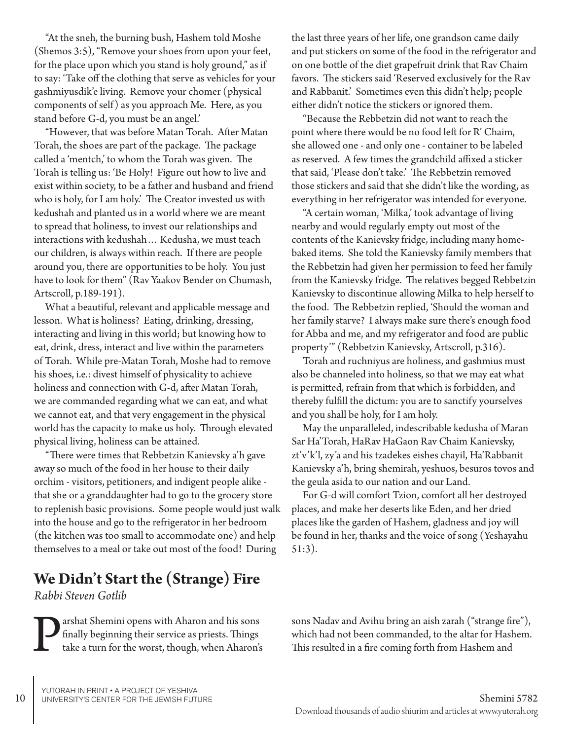"At the sneh, the burning bush, Hashem told Moshe (Shemos 3:5), "Remove your shoes from upon your feet, for the place upon which you stand is holy ground," as if to say: 'Take off the clothing that serve as vehicles for your gashmiyusdik'e living. Remove your chomer (physical components of self) as you approach Me. Here, as you stand before G-d, you must be an angel.'

"However, that was before Matan Torah. After Matan Torah, the shoes are part of the package. The package called a 'mentch,' to whom the Torah was given. The Torah is telling us: 'Be Holy! Figure out how to live and exist within society, to be a father and husband and friend who is holy, for I am holy.' The Creator invested us with kedushah and planted us in a world where we are meant to spread that holiness, to invest our relationships and interactions with kedushah… Kedusha, we must teach our children, is always within reach. If there are people around you, there are opportunities to be holy. You just have to look for them" (Rav Yaakov Bender on Chumash, Artscroll, p.189-191).

What a beautiful, relevant and applicable message and lesson. What is holiness? Eating, drinking, dressing, interacting and living in this world; but knowing how to eat, drink, dress, interact and live within the parameters of Torah. While pre-Matan Torah, Moshe had to remove his shoes, i.e.: divest himself of physicality to achieve holiness and connection with G-d, after Matan Torah, we are commanded regarding what we can eat, and what we cannot eat, and that very engagement in the physical world has the capacity to make us holy. Through elevated physical living, holiness can be attained.

"There were times that Rebbetzin Kanievsky a'h gave away so much of the food in her house to their daily orchim - visitors, petitioners, and indigent people alike that she or a granddaughter had to go to the grocery store to replenish basic provisions. Some people would just walk into the house and go to the refrigerator in her bedroom (the kitchen was too small to accommodate one) and help themselves to a meal or take out most of the food! During

### **We Didn't Start the (Strange) Fire**

*Rabbi Steven Gotlib*

10

**Parshat Shemini opens with Aharon and his sons finally beginning their service as priests. Things take a turn for the worst, though, when Aharon's** finally beginning their service as priests. Things take a turn for the worst, though, when Aharon's the last three years of her life, one grandson came daily and put stickers on some of the food in the refrigerator and on one bottle of the diet grapefruit drink that Rav Chaim favors. The stickers said 'Reserved exclusively for the Rav and Rabbanit.' Sometimes even this didn't help; people either didn't notice the stickers or ignored them.

"Because the Rebbetzin did not want to reach the point where there would be no food left for R' Chaim, she allowed one - and only one - container to be labeled as reserved. A few times the grandchild affixed a sticker that said, 'Please don't take.' The Rebbetzin removed those stickers and said that she didn't like the wording, as everything in her refrigerator was intended for everyone.

"A certain woman, 'Milka,' took advantage of living nearby and would regularly empty out most of the contents of the Kanievsky fridge, including many homebaked items. She told the Kanievsky family members that the Rebbetzin had given her permission to feed her family from the Kanievsky fridge. The relatives begged Rebbetzin Kanievsky to discontinue allowing Milka to help herself to the food. The Rebbetzin replied, 'Should the woman and her family starve? I always make sure there's enough food for Abba and me, and my refrigerator and food are public property'" (Rebbetzin Kanievsky, Artscroll, p.316).

Torah and ruchniyus are holiness, and gashmius must also be channeled into holiness, so that we may eat what is permitted, refrain from that which is forbidden, and thereby fulfill the dictum: you are to sanctify yourselves and you shall be holy, for I am holy.

May the unparalleled, indescribable kedusha of Maran Sar Ha'Torah, HaRav HaGaon Rav Chaim Kanievsky, zt'v'k'l, zy'a and his tzadekes eishes chayil, Ha'Rabbanit Kanievsky a'h, bring shemirah, yeshuos, besuros tovos and the geula asida to our nation and our Land.

For G-d will comfort Tzion, comfort all her destroyed places, and make her deserts like Eden, and her dried places like the garden of Hashem, gladness and joy will be found in her, thanks and the voice of song (Yeshayahu 51:3).

sons Nadav and Avihu bring an aish zarah ("strange fire"), which had not been commanded, to the altar for Hashem. This resulted in a fire coming forth from Hashem and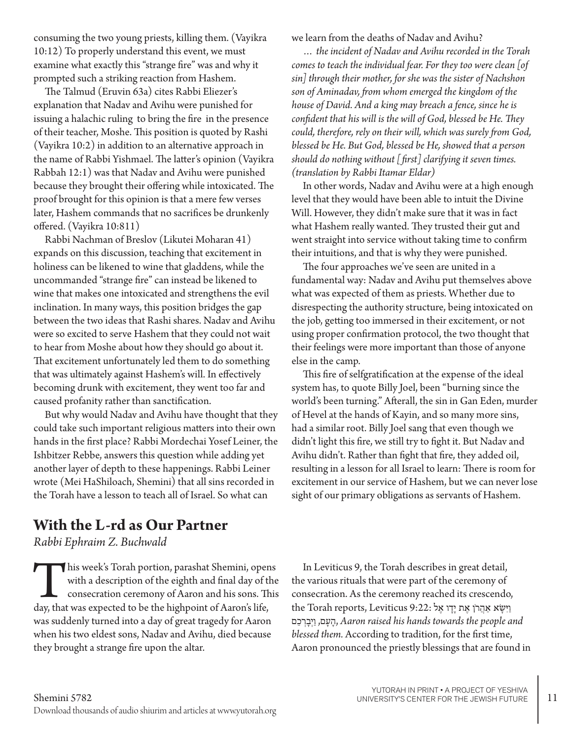consuming the two young priests, killing them. (Vayikra 10:12) To properly understand this event, we must examine what exactly this "strange fire" was and why it prompted such a striking reaction from Hashem.

The Talmud (Eruvin 63a) cites Rabbi Eliezer's explanation that Nadav and Avihu were punished for issuing a halachic ruling to bring the fire in the presence of their teacher, Moshe. This position is quoted by Rashi (Vayikra 10:2) in addition to an alternative approach in the name of Rabbi Yishmael. The latter's opinion (Vayikra Rabbah 12:1) was that Nadav and Avihu were punished because they brought their offering while intoxicated. The proof brought for this opinion is that a mere few verses later, Hashem commands that no sacrifices be drunkenly offered. (Vayikra 10:811)

Rabbi Nachman of Breslov (Likutei Moharan 41) expands on this discussion, teaching that excitement in holiness can be likened to wine that gladdens, while the uncommanded "strange fire" can instead be likened to wine that makes one intoxicated and strengthens the evil inclination. In many ways, this position bridges the gap between the two ideas that Rashi shares. Nadav and Avihu were so excited to serve Hashem that they could not wait to hear from Moshe about how they should go about it. That excitement unfortunately led them to do something that was ultimately against Hashem's will. In effectively becoming drunk with excitement, they went too far and caused profanity rather than sanctification.

But why would Nadav and Avihu have thought that they could take such important religious matters into their own hands in the first place? Rabbi Mordechai Yosef Leiner, the Ishbitzer Rebbe, answers this question while adding yet another layer of depth to these happenings. Rabbi Leiner wrote (Mei HaShiloach, Shemini) that all sins recorded in the Torah have a lesson to teach all of Israel. So what can

### **With the L-rd as Our Partner**

*Rabbi Ephraim Z. Buchwald*

This week's Torah portion, parashat Shemini, opens<br>with a description of the eighth and final day of the<br>consecration ceremony of Aaron and his sons. This<br>day, that was expected to be the highpoint of Aaron's life, with a description of the eighth and final day of the consecration ceremony of Aaron and his sons. This day, that was expected to be the highpoint of Aaron's life, was suddenly turned into a day of great tragedy for Aaron when his two eldest sons, Nadav and Avihu, died because they brought a strange fire upon the altar.

we learn from the deaths of Nadav and Avihu?

*… the incident of Nadav and Avihu recorded in the Torah comes to teach the individual fear. For they too were clean [of sin] through their mother, for she was the sister of Nachshon son of Aminadav, from whom emerged the kingdom of the house of David. And a king may breach a fence, since he is confident that his will is the will of God, blessed be He. They could, therefore, rely on their will, which was surely from God, blessed be He. But God, blessed be He, showed that a person should do nothing without [first] clarifying it seven times. (translation by Rabbi Itamar Eldar)*

In other words, Nadav and Avihu were at a high enough level that they would have been able to intuit the Divine Will. However, they didn't make sure that it was in fact what Hashem really wanted. They trusted their gut and went straight into service without taking time to confirm their intuitions, and that is why they were punished.

The four approaches we've seen are united in a fundamental way: Nadav and Avihu put themselves above what was expected of them as priests. Whether due to disrespecting the authority structure, being intoxicated on the job, getting too immersed in their excitement, or not using proper confirmation protocol, the two thought that their feelings were more important than those of anyone else in the camp.

This fire of selfgratification at the expense of the ideal system has, to quote Billy Joel, been "burning since the world's been turning." Afterall, the sin in Gan Eden, murder of Hevel at the hands of Kayin, and so many more sins, had a similar root. Billy Joel sang that even though we didn't light this fire, we still try to fight it. But Nadav and Avihu didn't. Rather than fight that fire, they added oil, resulting in a lesson for all Israel to learn: There is room for excitement in our service of Hashem, but we can never lose sight of our primary obligations as servants of Hashem.

In Leviticus 9, the Torah describes in great detail, the various rituals that were part of the ceremony of consecration. As the ceremony reached its crescendo, the Torah reports, Leviticus 9:22: וַיִּשָׂא אַהֲרֹן אֵת יָדָו אֵל  *and people the towards hands his raised Aaron* ,הָ עָ ם, וַ יְבָ רְ כֵ ם *blessed them.* According to tradition, for the first time, Aaron pronounced the priestly blessings that are found in